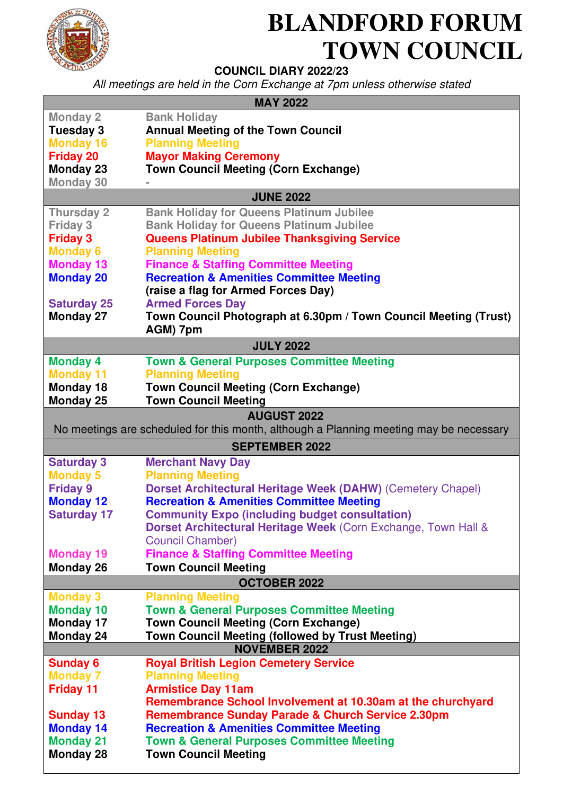

## **BLANDFORD FORUM TOWN COUNCIL**

## **COUNCIL DIARY 2022/23**

All meetings are held in the Corn Exchange at 7pm unless otherwise stated

| <b>MAY 2022</b>                                                                        |                                                                                           |
|----------------------------------------------------------------------------------------|-------------------------------------------------------------------------------------------|
| <b>Monday 2</b>                                                                        | <b>Bank Holiday</b>                                                                       |
| Tuesday 3                                                                              | <b>Annual Meeting of the Town Council</b>                                                 |
| <b>Monday 16</b>                                                                       | <b>Planning Meeting</b>                                                                   |
| <b>Friday 20</b>                                                                       | <b>Mayor Making Ceremony</b>                                                              |
| <b>Monday 23</b>                                                                       | <b>Town Council Meeting (Corn Exchange)</b>                                               |
| <b>Monday 30</b>                                                                       |                                                                                           |
| <b>JUNE 2022</b>                                                                       |                                                                                           |
| <b>Thursday 2</b>                                                                      | <b>Bank Holiday for Queens Platinum Jubilee</b>                                           |
| <b>Friday 3</b>                                                                        | <b>Bank Holiday for Queens Platinum Jubilee</b>                                           |
| <b>Friday 3</b>                                                                        | <b>Queens Platinum Jubilee Thanksgiving Service</b>                                       |
| <b>Monday 6</b>                                                                        | <b>Planning Meeting</b>                                                                   |
| <b>Monday 13</b>                                                                       | <b>Finance &amp; Staffing Committee Meeting</b>                                           |
| <b>Monday 20</b>                                                                       | <b>Recreation &amp; Amenities Committee Meeting</b>                                       |
|                                                                                        | (raise a flag for Armed Forces Day)                                                       |
| <b>Saturday 25</b>                                                                     | <b>Armed Forces Day</b>                                                                   |
| <b>Monday 27</b>                                                                       | Town Council Photograph at 6.30pm / Town Council Meeting (Trust)<br>AGM) 7pm              |
| <b>JULY 2022</b>                                                                       |                                                                                           |
|                                                                                        |                                                                                           |
| <b>Monday 4</b><br><b>Monday 11</b>                                                    | <b>Town &amp; General Purposes Committee Meeting</b>                                      |
| Monday 18                                                                              | <b>Planning Meeting</b><br><b>Town Council Meeting (Corn Exchange)</b>                    |
| <b>Monday 25</b>                                                                       | <b>Town Council Meeting</b>                                                               |
|                                                                                        |                                                                                           |
| <b>AUGUST 2022</b>                                                                     |                                                                                           |
| No meetings are scheduled for this month, although a Planning meeting may be necessary |                                                                                           |
| <b>SEPTEMBER 2022</b>                                                                  |                                                                                           |
| <b>Saturday 3</b>                                                                      | <b>Merchant Navy Day</b>                                                                  |
| <b>Monday 5</b>                                                                        | <b>Planning Meeting</b>                                                                   |
| <b>Friday 9</b>                                                                        | <b>Dorset Architectural Heritage Week (DAHW) (Cemetery Chapel)</b>                        |
| <b>Monday 12</b>                                                                       | <b>Recreation &amp; Amenities Committee Meeting</b>                                       |
| <b>Saturday 17</b>                                                                     | <b>Community Expo (including budget consultation)</b>                                     |
|                                                                                        | Dorset Architectural Heritage Week (Corn Exchange, Town Hall &<br><b>Council Chamber)</b> |
| <b>Monday 19</b>                                                                       | <b>Finance &amp; Staffing Committee Meeting</b>                                           |
| <b>Monday 26</b>                                                                       | <b>Town Council Meeting</b>                                                               |
|                                                                                        |                                                                                           |
| <b>OCTOBER 2022</b><br><b>Monday 3</b><br><b>Planning Meeting</b>                      |                                                                                           |
| <b>Monday 10</b>                                                                       | <b>Town &amp; General Purposes Committee Meeting</b>                                      |
| Monday 17                                                                              | <b>Town Council Meeting (Corn Exchange)</b>                                               |
| <b>Monday 24</b>                                                                       | Town Council Meeting (followed by Trust Meeting)                                          |
|                                                                                        | <b>NOVEMBER 2022</b>                                                                      |
| <b>Sunday 6</b>                                                                        | <b>Royal British Legion Cemetery Service</b>                                              |
| <b>Monday 7</b>                                                                        | <b>Planning Meeting</b>                                                                   |
| <b>Friday 11</b>                                                                       | <b>Armistice Day 11am</b>                                                                 |
|                                                                                        | Remembrance School Involvement at 10.30am at the churchyard                               |
| <b>Sunday 13</b>                                                                       | <b>Remembrance Sunday Parade &amp; Church Service 2.30pm</b>                              |
| <b>Monday 14</b>                                                                       | <b>Recreation &amp; Amenities Committee Meeting</b>                                       |
| <b>Monday 21</b>                                                                       | <b>Town &amp; General Purposes Committee Meeting</b>                                      |
| <b>Monday 28</b>                                                                       | <b>Town Council Meeting</b>                                                               |
|                                                                                        |                                                                                           |